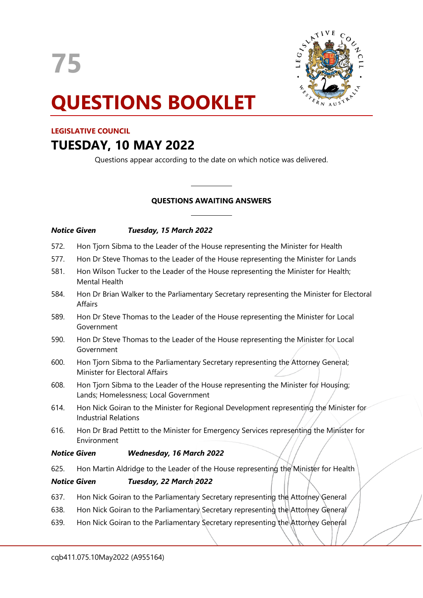**75**



# **QUESTIONS BOOKLET**

## **LEGISLATIVE COUNCIL TUESDAY, 10 MAY 2022**

Questions appear according to the date on which notice was delivered.

### **QUESTIONS AWAITING ANSWERS**

#### *Notice Given Tuesday, 15 March 2022*

572. Hon Tjorn Sibma to the Leader of the House representing the Minister for Health

 $\overline{\phantom{a}}$ 

 $\overline{\phantom{a}}$ 

- 577. Hon Dr Steve Thomas to the Leader of the House representing the Minister for Lands
- 581. Hon Wilson Tucker to the Leader of the House representing the Minister for Health; Mental Health
- 584. Hon Dr Brian Walker to the Parliamentary Secretary representing the Minister for Electoral Affairs
- 589. Hon Dr Steve Thomas to the Leader of the House representing the Minister for Local Government
- 590. Hon Dr Steve Thomas to the Leader of the House representing the Minister for Local Government
- 600. Hon Tjorn Sibma to the Parliamentary Secretary representing the Attorney General; Minister for Electoral Affairs
- 608. Hon Tjorn Sibma to the Leader of the House representing the Minister for Housing; Lands; Homelessness; Local Government
- 614. Hon Nick Goiran to the Minister for Regional Development representing the Minister for Industrial Relations
- 616. Hon Dr Brad Pettitt to the Minister for Emergency Services representing the Minister for Environment

#### *Notice Given Wednesday, 16 March 2022*

625. Hon Martin Aldridge to the Leader of the House representing the Minister for Health

#### *Notice Given Tuesday, 22 March 2022*

- 637. Hon Nick Goiran to the Parliamentary Secretary representing the Attorney General
- 638. Hon Nick Goiran to the Parliamentary Secretary representing the Attorney General
- 639. Hon Nick Goiran to the Parliamentary Secretary representing the Attorney General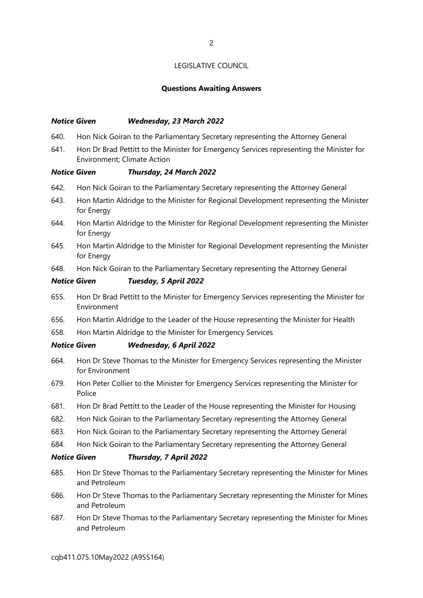#### **Questions Awaiting Answers**

#### *Notice Given Wednesday, 23 March 2022*

- 640. Hon Nick Goiran to the Parliamentary Secretary representing the Attorney General
- 641. Hon Dr Brad Pettitt to the Minister for Emergency Services representing the Minister for Environment; Climate Action

#### *Notice Given Thursday, 24 March 2022*

- 642. Hon Nick Goiran to the Parliamentary Secretary representing the Attorney General
- 643. Hon Martin Aldridge to the Minister for Regional Development representing the Minister for Energy
- 644. Hon Martin Aldridge to the Minister for Regional Development representing the Minister for Energy
- 645. Hon Martin Aldridge to the Minister for Regional Development representing the Minister for Energy
- 648. Hon Nick Goiran to the Parliamentary Secretary representing the Attorney General

#### *Notice Given Tuesday, 5 April 2022*

- 655. Hon Dr Brad Pettitt to the Minister for Emergency Services representing the Minister for Environment
- 656. Hon Martin Aldridge to the Leader of the House representing the Minister for Health
- 658. Hon Martin Aldridge to the Minister for Emergency Services

#### *Notice Given Wednesday, 6 April 2022*

- 664. Hon Dr Steve Thomas to the Minister for Emergency Services representing the Minister for Environment
- 679. Hon Peter Collier to the Minister for Emergency Services representing the Minister for Police
- 681. Hon Dr Brad Pettitt to the Leader of the House representing the Minister for Housing
- 682. Hon Nick Goiran to the Parliamentary Secretary representing the Attorney General
- 683. Hon Nick Goiran to the Parliamentary Secretary representing the Attorney General
- 684. Hon Nick Goiran to the Parliamentary Secretary representing the Attorney General

#### *Notice Given Thursday, 7 April 2022*

- 685. Hon Dr Steve Thomas to the Parliamentary Secretary representing the Minister for Mines and Petroleum
- 686. Hon Dr Steve Thomas to the Parliamentary Secretary representing the Minister for Mines and Petroleum
- 687. Hon Dr Steve Thomas to the Parliamentary Secretary representing the Minister for Mines and Petroleum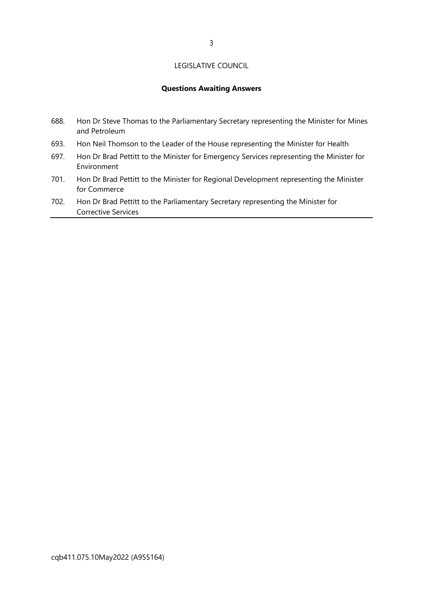#### **Questions Awaiting Answers**

- 688. Hon Dr Steve Thomas to the Parliamentary Secretary representing the Minister for Mines and Petroleum
- 693. Hon Neil Thomson to the Leader of the House representing the Minister for Health
- 697. Hon Dr Brad Pettitt to the Minister for Emergency Services representing the Minister for Environment
- 701. Hon Dr Brad Pettitt to the Minister for Regional Development representing the Minister for Commerce
- 702. Hon Dr Brad Pettitt to the Parliamentary Secretary representing the Minister for Corrective Services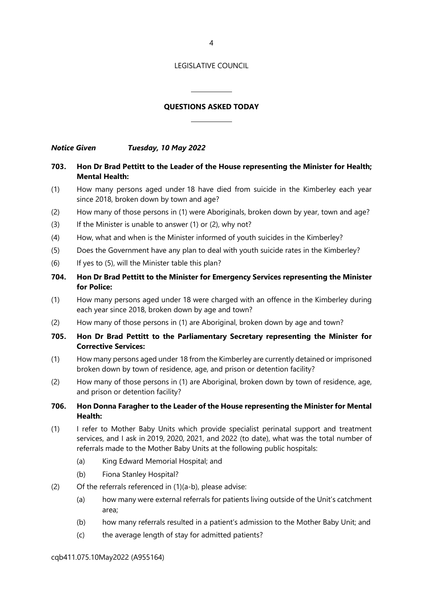#### **QUESTIONS ASKED TODAY**

 $\overline{\phantom{a}}$ 

 $\overline{\phantom{a}}$ 

*Notice Given Tuesday, 10 May 2022*

#### **703. Hon Dr Brad Pettitt to the Leader of the House representing the Minister for Health; Mental Health:**

- (1) How many persons aged under 18 have died from suicide in the Kimberley each year since 2018, broken down by town and age?
- (2) How many of those persons in (1) were Aboriginals, broken down by year, town and age?
- $(3)$  If the Minister is unable to answer  $(1)$  or  $(2)$ , why not?
- (4) How, what and when is the Minister informed of youth suicides in the Kimberley?
- (5) Does the Government have any plan to deal with youth suicide rates in the Kimberley?
- (6) If yes to (5), will the Minister table this plan?

#### **704. Hon Dr Brad Pettitt to the Minister for Emergency Services representing the Minister for Police:**

- (1) How many persons aged under 18 were charged with an offence in the Kimberley during each year since 2018, broken down by age and town?
- (2) How many of those persons in (1) are Aboriginal, broken down by age and town?
- **705. Hon Dr Brad Pettitt to the Parliamentary Secretary representing the Minister for Corrective Services:**
- (1) How many persons aged under 18 from the Kimberley are currently detained or imprisoned broken down by town of residence, age, and prison or detention facility?
- (2) How many of those persons in (1) are Aboriginal, broken down by town of residence, age, and prison or detention facility?

#### **706. Hon Donna Faragher to the Leader of the House representing the Minister for Mental Health:**

- (1) I refer to Mother Baby Units which provide specialist perinatal support and treatment services, and I ask in 2019, 2020, 2021, and 2022 (to date), what was the total number of referrals made to the Mother Baby Units at the following public hospitals:
	- (a) King Edward Memorial Hospital; and
	- (b) Fiona Stanley Hospital?
- (2) Of the referrals referenced in (1)(a-b), please advise:
	- (a) how many were external referrals for patients living outside of the Unit's catchment area;
	- (b) how many referrals resulted in a patient's admission to the Mother Baby Unit; and
	- (c) the average length of stay for admitted patients?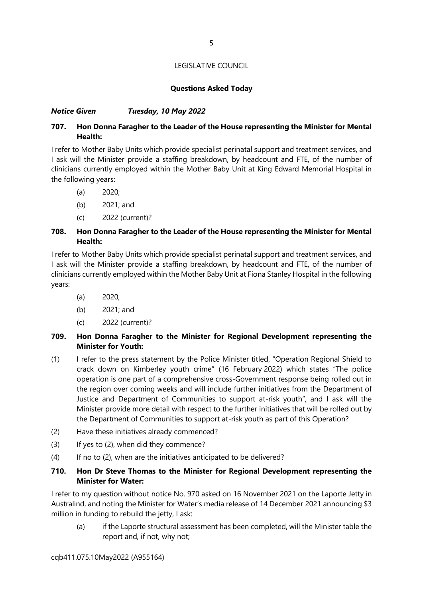#### **Questions Asked Today**

#### *Notice Given Tuesday, 10 May 2022*

#### **707. Hon Donna Faragher to the Leader of the House representing the Minister for Mental Health:**

I refer to Mother Baby Units which provide specialist perinatal support and treatment services, and I ask will the Minister provide a staffing breakdown, by headcount and FTE, of the number of clinicians currently employed within the Mother Baby Unit at King Edward Memorial Hospital in the following years:

- (a) 2020;
- (b) 2021; and
- (c) 2022 (current)?

#### **708. Hon Donna Faragher to the Leader of the House representing the Minister for Mental Health:**

I refer to Mother Baby Units which provide specialist perinatal support and treatment services, and I ask will the Minister provide a staffing breakdown, by headcount and FTE, of the number of clinicians currently employed within the Mother Baby Unit at Fiona Stanley Hospital in the following years:

- (a) 2020;
- (b) 2021; and
- (c) 2022 (current)?

#### **709. Hon Donna Faragher to the Minister for Regional Development representing the Minister for Youth:**

- (1) I refer to the press statement by the Police Minister titled, "Operation Regional Shield to crack down on Kimberley youth crime" (16 February 2022) which states "The police operation is one part of a comprehensive cross-Government response being rolled out in the region over coming weeks and will include further initiatives from the Department of Justice and Department of Communities to support at-risk youth", and I ask will the Minister provide more detail with respect to the further initiatives that will be rolled out by the Department of Communities to support at-risk youth as part of this Operation?
- (2) Have these initiatives already commenced?
- (3) If yes to (2), when did they commence?
- (4) If no to (2), when are the initiatives anticipated to be delivered?

#### **710. Hon Dr Steve Thomas to the Minister for Regional Development representing the Minister for Water:**

I refer to my question without notice No. 970 asked on 16 November 2021 on the Laporte Jetty in Australind, and noting the Minister for Water's media release of 14 December 2021 announcing \$3 million in funding to rebuild the jetty, I ask:

(a) if the Laporte structural assessment has been completed, will the Minister table the report and, if not, why not;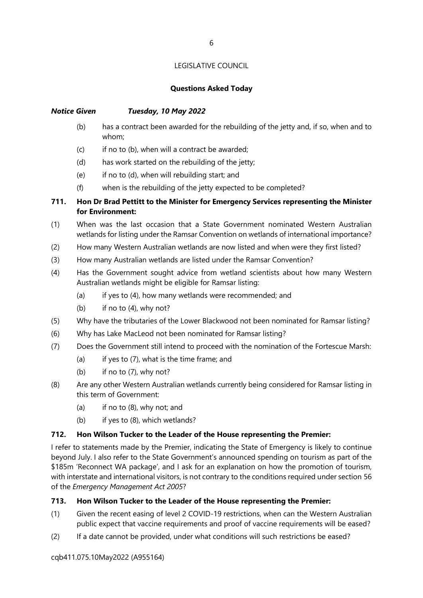#### **Questions Asked Today**

#### *Notice Given Tuesday, 10 May 2022*

- (b) has a contract been awarded for the rebuilding of the jetty and, if so, when and to whom;
- (c) if no to (b), when will a contract be awarded;
- (d) has work started on the rebuilding of the jetty;
- (e) if no to (d), when will rebuilding start; and
- (f) when is the rebuilding of the jetty expected to be completed?

#### **711. Hon Dr Brad Pettitt to the Minister for Emergency Services representing the Minister for Environment:**

- (1) When was the last occasion that a State Government nominated Western Australian wetlands for listing under the Ramsar Convention on wetlands of international importance?
- (2) How many Western Australian wetlands are now listed and when were they first listed?
- (3) How many Australian wetlands are listed under the Ramsar Convention?
- (4) Has the Government sought advice from wetland scientists about how many Western Australian wetlands might be eligible for Ramsar listing:
	- (a) if yes to (4), how many wetlands were recommended; and
	- (b) if no to  $(4)$ , why not?
- (5) Why have the tributaries of the Lower Blackwood not been nominated for Ramsar listing?
- (6) Why has Lake MacLeod not been nominated for Ramsar listing?
- (7) Does the Government still intend to proceed with the nomination of the Fortescue Marsh:
	- (a) if yes to  $(7)$ , what is the time frame; and
	- (b) if no to (7), why not?
- (8) Are any other Western Australian wetlands currently being considered for Ramsar listing in this term of Government:
	- (a) if no to (8), why not; and
	- (b) if yes to (8), which wetlands?

#### **712. Hon Wilson Tucker to the Leader of the House representing the Premier:**

I refer to statements made by the Premier, indicating the State of Emergency is likely to continue beyond July. I also refer to the State Government's announced spending on tourism as part of the \$185m 'Reconnect WA package', and I ask for an explanation on how the promotion of tourism, with interstate and international visitors, is not contrary to the conditions required under section 56 of the *Emergency Management Act 2005*?

#### **713. Hon Wilson Tucker to the Leader of the House representing the Premier:**

- (1) Given the recent easing of level 2 COVID-19 restrictions, when can the Western Australian public expect that vaccine requirements and proof of vaccine requirements will be eased?
- (2) If a date cannot be provided, under what conditions will such restrictions be eased?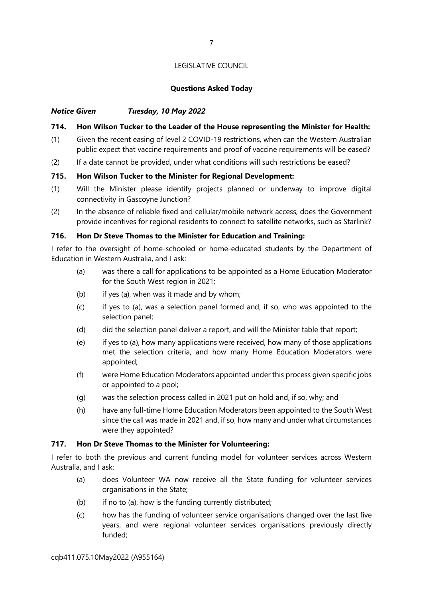#### **Questions Asked Today**

#### *Notice Given Tuesday, 10 May 2022*

#### **714. Hon Wilson Tucker to the Leader of the House representing the Minister for Health:**

- (1) Given the recent easing of level 2 COVID-19 restrictions, when can the Western Australian public expect that vaccine requirements and proof of vaccine requirements will be eased?
- (2) If a date cannot be provided, under what conditions will such restrictions be eased?

#### **715. Hon Wilson Tucker to the Minister for Regional Development:**

- (1) Will the Minister please identify projects planned or underway to improve digital connectivity in Gascoyne Junction?
- (2) In the absence of reliable fixed and cellular/mobile network access, does the Government provide incentives for regional residents to connect to satellite networks, such as Starlink?

#### **716. Hon Dr Steve Thomas to the Minister for Education and Training:**

I refer to the oversight of home-schooled or home-educated students by the Department of Education in Western Australia, and I ask:

- (a) was there a call for applications to be appointed as a Home Education Moderator for the South West region in 2021;
- (b) if yes (a), when was it made and by whom;
- (c) if yes to (a), was a selection panel formed and, if so, who was appointed to the selection panel;
- (d) did the selection panel deliver a report, and will the Minister table that report;
- (e) if yes to (a), how many applications were received, how many of those applications met the selection criteria, and how many Home Education Moderators were appointed;
- (f) were Home Education Moderators appointed under this process given specific jobs or appointed to a pool;
- (g) was the selection process called in 2021 put on hold and, if so, why; and
- (h) have any full-time Home Education Moderators been appointed to the South West since the call was made in 2021 and, if so, how many and under what circumstances were they appointed?

#### **717. Hon Dr Steve Thomas to the Minister for Volunteering:**

I refer to both the previous and current funding model for volunteer services across Western Australia, and I ask:

- (a) does Volunteer WA now receive all the State funding for volunteer services organisations in the State;
- (b) if no to (a), how is the funding currently distributed;
- (c) how has the funding of volunteer service organisations changed over the last five years, and were regional volunteer services organisations previously directly funded;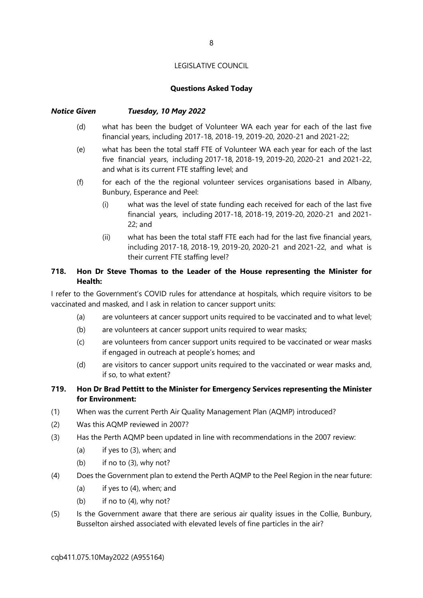#### **Questions Asked Today**

#### *Notice Given Tuesday, 10 May 2022*

- (d) what has been the budget of Volunteer WA each year for each of the last five financial years, including 2017-18, 2018-19, 2019-20, 2020-21 and 2021-22;
- (e) what has been the total staff FTE of Volunteer WA each year for each of the last five financial years, including 2017-18, 2018-19, 2019-20, 2020-21 and 2021-22, and what is its current FTE staffing level; and
- (f) for each of the the regional volunteer services organisations based in Albany, Bunbury, Esperance and Peel:
	- (i) what was the level of state funding each received for each of the last five financial years, including 2017-18, 2018-19, 2019-20, 2020-21 and 2021- 22; and
	- (ii) what has been the total staff FTE each had for the last five financial years, including 2017-18, 2018-19, 2019-20, 2020-21 and 2021-22, and what is their current FTE staffing level?

#### **718. Hon Dr Steve Thomas to the Leader of the House representing the Minister for Health:**

I refer to the Government's COVID rules for attendance at hospitals, which require visitors to be vaccinated and masked, and I ask in relation to cancer support units:

- (a) are volunteers at cancer support units required to be vaccinated and to what level;
- (b) are volunteers at cancer support units required to wear masks;
- (c) are volunteers from cancer support units required to be vaccinated or wear masks if engaged in outreach at people's homes; and
- (d) are visitors to cancer support units required to the vaccinated or wear masks and, if so, to what extent?
- **719. Hon Dr Brad Pettitt to the Minister for Emergency Services representing the Minister for Environment:**
- (1) When was the current Perth Air Quality Management Plan (AQMP) introduced?
- (2) Was this AQMP reviewed in 2007?
- (3) Has the Perth AQMP been updated in line with recommendations in the 2007 review:
	- (a) if yes to (3), when; and
	- $(b)$  if no to  $(3)$ , why not?
- (4) Does the Government plan to extend the Perth AQMP to the Peel Region in the near future:
	- (a) if yes to  $(4)$ , when; and
	- (b) if no to  $(4)$ , why not?
- (5) Is the Government aware that there are serious air quality issues in the Collie, Bunbury, Busselton airshed associated with elevated levels of fine particles in the air?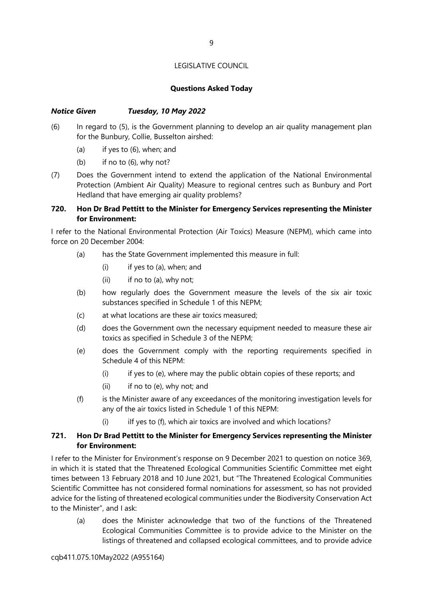#### **Questions Asked Today**

#### *Notice Given Tuesday, 10 May 2022*

- (6) In regard to (5), is the Government planning to develop an air quality management plan for the Bunbury, Collie, Busselton airshed:
	- (a) if yes to (6), when; and
	- (b) if no to  $(6)$ , why not?
- (7) Does the Government intend to extend the application of the National Environmental Protection (Ambient Air Quality) Measure to regional centres such as Bunbury and Port Hedland that have emerging air quality problems?

#### **720. Hon Dr Brad Pettitt to the Minister for Emergency Services representing the Minister for Environment:**

I refer to the National Environmental Protection (Air Toxics) Measure (NEPM), which came into force on 20 December 2004:

- (a) has the State Government implemented this measure in full:
	- (i) if yes to (a), when; and
	- $(ii)$  if no to  $(a)$ , why not;
- (b) how regularly does the Government measure the levels of the six air toxic substances specified in Schedule 1 of this NEPM;
- (c) at what locations are these air toxics measured;
- (d) does the Government own the necessary equipment needed to measure these air toxics as specified in Schedule 3 of the NEPM;
- (e) does the Government comply with the reporting requirements specified in Schedule 4 of this NEPM:
	- (i) if yes to (e), where may the public obtain copies of these reports; and
	- (ii) if no to (e), why not; and
- (f) is the Minister aware of any exceedances of the monitoring investigation levels for any of the air toxics listed in Schedule 1 of this NEPM:
	- $(i)$  iIf yes to  $(f)$ , which air toxics are involved and which locations?

#### **721. Hon Dr Brad Pettitt to the Minister for Emergency Services representing the Minister for Environment:**

I refer to the Minister for Environment's response on 9 December 2021 to question on notice 369, in which it is stated that the Threatened Ecological Communities Scientific Committee met eight times between 13 February 2018 and 10 June 2021, but "The Threatened Ecological Communities Scientific Committee has not considered formal nominations for assessment, so has not provided advice for the listing of threatened ecological communities under the Biodiversity Conservation Act to the Minister", and I ask:

(a) does the Minister acknowledge that two of the functions of the Threatened Ecological Communities Committee is to provide advice to the Minister on the listings of threatened and collapsed ecological committees, and to provide advice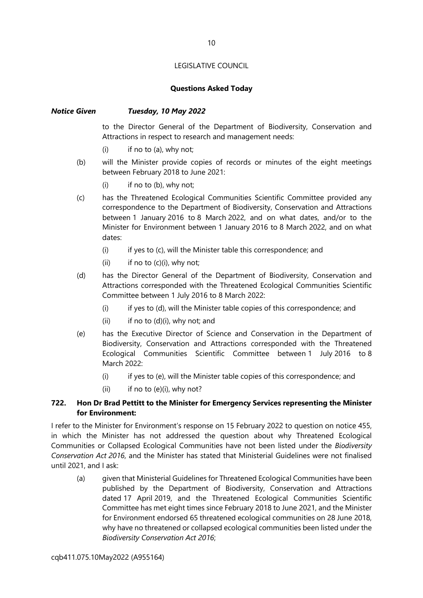#### **Questions Asked Today**

#### *Notice Given Tuesday, 10 May 2022*

to the Director General of the Department of Biodiversity, Conservation and Attractions in respect to research and management needs:

- $(i)$  if no to  $(a)$ , why not;
- (b) will the Minister provide copies of records or minutes of the eight meetings between February 2018 to June 2021:
	- $(i)$  if no to  $(b)$ , why not;
- (c) has the Threatened Ecological Communities Scientific Committee provided any correspondence to the Department of Biodiversity, Conservation and Attractions between 1 January 2016 to 8 March 2022, and on what dates, and/or to the Minister for Environment between 1 January 2016 to 8 March 2022, and on what dates:
	- (i) if yes to (c), will the Minister table this correspondence; and
	- (ii) if no to  $(c)(i)$ , why not;
- (d) has the Director General of the Department of Biodiversity, Conservation and Attractions corresponded with the Threatened Ecological Communities Scientific Committee between 1 July 2016 to 8 March 2022:
	- (i) if yes to (d), will the Minister table copies of this correspondence; and
	- $(ii)$  if no to  $(d)(i)$ , why not; and
- (e) has the Executive Director of Science and Conservation in the Department of Biodiversity, Conservation and Attractions corresponded with the Threatened Ecological Communities Scientific Committee between 1 July 2016 to 8 March 2022:
	- (i) if yes to (e), will the Minister table copies of this correspondence; and
	- $(ii)$  if no to  $(e)(i)$ , why not?

#### **722. Hon Dr Brad Pettitt to the Minister for Emergency Services representing the Minister for Environment:**

I refer to the Minister for Environment's response on 15 February 2022 to question on notice 455, in which the Minister has not addressed the question about why Threatened Ecological Communities or Collapsed Ecological Communities have not been listed under the *Biodiversity Conservation Act 2016*, and the Minister has stated that Ministerial Guidelines were not finalised until 2021, and I ask:

(a) given that Ministerial Guidelines for Threatened Ecological Communities have been published by the Department of Biodiversity, Conservation and Attractions dated 17 April 2019, and the Threatened Ecological Communities Scientific Committee has met eight times since February 2018 to June 2021, and the Minister for Environment endorsed 65 threatened ecological communities on 28 June 2018, why have no threatened or collapsed ecological communities been listed under the *Biodiversity Conservation Act 2016*;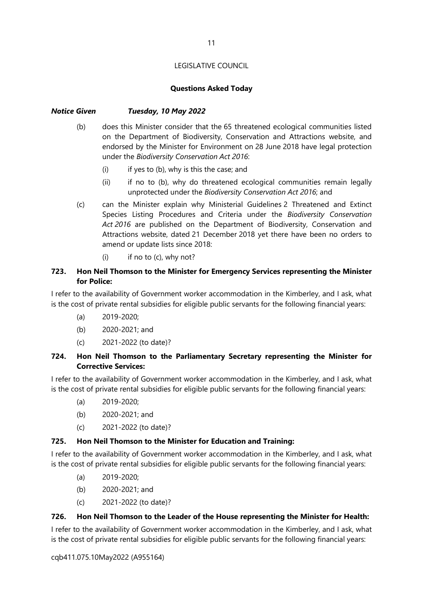#### **Questions Asked Today**

#### *Notice Given Tuesday, 10 May 2022*

- (b) does this Minister consider that the 65 threatened ecological communities listed on the Department of Biodiversity, Conservation and Attractions website, and endorsed by the Minister for Environment on 28 June 2018 have legal protection under the *Biodiversity Conservation Act 2016*:
	- $(i)$  if yes to  $(b)$ , why is this the case; and
	- (ii) if no to (b), why do threatened ecological communities remain legally unprotected under the *Biodiversity Conservation Act 2016*; and
- (c) can the Minister explain why Ministerial Guidelines 2 Threatened and Extinct Species Listing Procedures and Criteria under the *Biodiversity Conservation Act 2016* are published on the Department of Biodiversity, Conservation and Attractions website, dated 21 December 2018 yet there have been no orders to amend or update lists since 2018:
	- $(i)$  if no to  $(c)$ , why not?

#### **723. Hon Neil Thomson to the Minister for Emergency Services representing the Minister for Police:**

I refer to the availability of Government worker accommodation in the Kimberley, and I ask, what is the cost of private rental subsidies for eligible public servants for the following financial years:

- (a) 2019-2020;
- (b) 2020-2021; and
- (c) 2021-2022 (to date)?

#### **724. Hon Neil Thomson to the Parliamentary Secretary representing the Minister for Corrective Services:**

I refer to the availability of Government worker accommodation in the Kimberley, and I ask, what is the cost of private rental subsidies for eligible public servants for the following financial years:

- (a) 2019-2020;
- (b) 2020-2021; and
- (c) 2021-2022 (to date)?

#### **725. Hon Neil Thomson to the Minister for Education and Training:**

I refer to the availability of Government worker accommodation in the Kimberley, and I ask, what is the cost of private rental subsidies for eligible public servants for the following financial years:

- (a) 2019-2020;
- (b) 2020-2021; and
- (c) 2021-2022 (to date)?

#### **726. Hon Neil Thomson to the Leader of the House representing the Minister for Health:**

I refer to the availability of Government worker accommodation in the Kimberley, and I ask, what is the cost of private rental subsidies for eligible public servants for the following financial years: